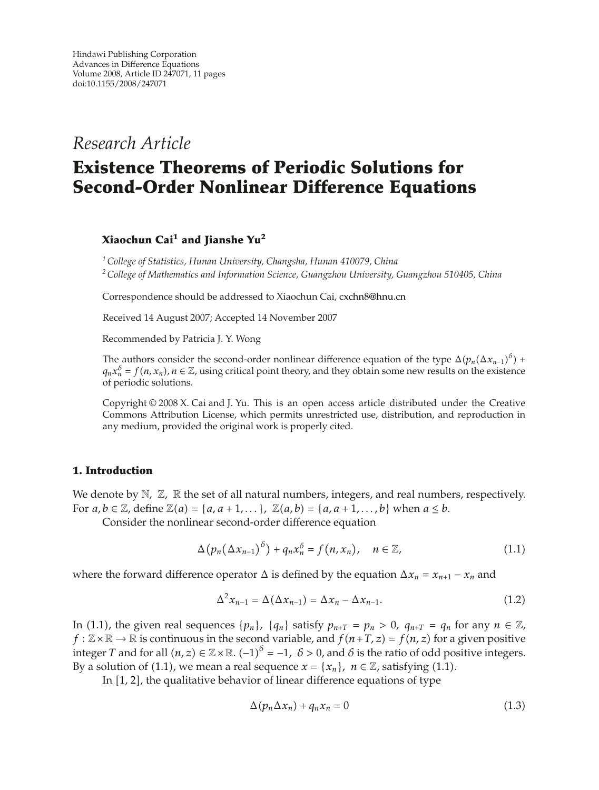*Research Article*

# **Existence Theorems of Periodic Solutions for Second-Order Nonlinear Difference Equations**

# **Xiaochun Cai1 and Jianshe Yu<sup>2</sup>**

*1College of Statistics, Hunan University, Changsha, Hunan 410079, China 2College of Mathematics and Information Science, Guangzhou University, Guangzhou 510405, China*

Correspondence should be addressed to Xiaochun Cai, cxchn8@hnu.cn

Received 14 August 2007; Accepted 14 November 2007

Recommended by Patricia J. Y. Wong

The authors consider the second-order nonlinear difference equation of the type  $\Delta(p_n(\Delta x_{n-1})^{\delta})$  +  $q_n x_n^{\delta} = f(n, x_n)$ ,  $n \in \mathbb{Z}$ , using critical point theory, and they obtain some new results on the existence of periodic solutions.

Copyright  $\odot$  2008 X. Cai and J. Yu. This is an open access article distributed under the Creative Commons Attribution License, which permits unrestricted use, distribution, and reproduction in any medium, provided the original work is properly cited.

#### **1. Introduction**

We denote by N, Z, R the set of all natural numbers, integers, and real numbers, respectively. For  $a, b \in \mathbb{Z}$ , define  $\mathbb{Z}(a) = \{a, a+1, \dots\}$ ,  $\mathbb{Z}(a, b) = \{a, a+1, \dots, b\}$  when  $a \leq b$ .

Consider the nonlinear second-order difference equation

$$
\Delta(p_n(\Delta x_{n-1})^{\delta}) + q_n x_n^{\delta} = f(n, x_n), \quad n \in \mathbb{Z},
$$
\n(1.1)

where the forward difference operator  $\Delta$  is defined by the equation  $\Delta x_n = x_{n+1} - x_n$  and

$$
\Delta^2 x_{n-1} = \Delta(\Delta x_{n-1}) = \Delta x_n - \Delta x_{n-1}.
$$
\n(1.2)

In (1.1), the given real sequences  $\{p_n\}$ ,  $\{q_n\}$  satisfy  $p_{n+T} = p_n > 0$ ,  $q_{n+T} = q_n$  for any  $n \in \mathbb{Z}$ ,  $f : \mathbb{Z} \times \mathbb{R} \to \mathbb{R}$  is continuous in the second variable, and  $f(n+T, z) = f(n, z)$  for a given positive integer *T* and for all  $(n, z) \in \mathbb{Z} \times \mathbb{R}$ .  $(-1)^{\delta} = -1$ ,  $\delta > 0$ , and  $\delta$  is the ratio of odd positive integers. By a solution of (1.1), we mean a real sequence  $x = \{x_n\}$ ,  $n \in \mathbb{Z}$ , satisfying (1.1).

In  $[1, 2]$ , the qualitative behavior of linear difference equations of type

$$
\Delta(p_n \Delta x_n) + q_n x_n = 0 \tag{1.3}
$$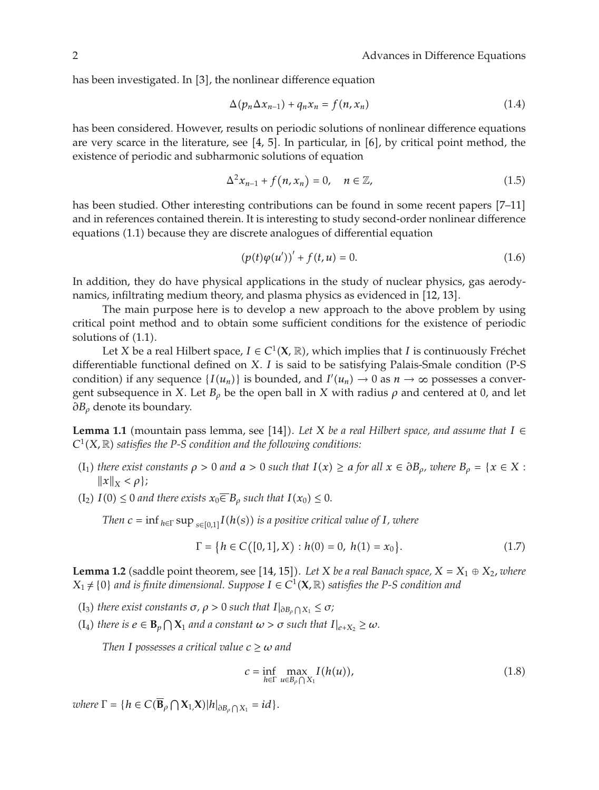has been investigated. In  $[3]$ , the nonlinear difference equation

$$
\Delta(p_n \Delta x_{n-1}) + q_n x_n = f(n, x_n) \tag{1.4}
$$

has been considered. However, results on periodic solutions of nonlinear difference equations are very scarce in the literature, see  $[4, 5]$ . In particular, in  $[6]$ , by critical point method, the existence of periodic and subharmonic solutions of equation

$$
\Delta^2 x_{n-1} + f(n, x_n) = 0, \quad n \in \mathbb{Z}, \tag{1.5}
$$

has been studied. Other interesting contributions can be found in some recent papers [7–11] and in references contained therein. It is interesting to study second-order nonlinear difference equations (1.1) because they are discrete analogues of differential equation

$$
(p(t)\varphi(u'))' + f(t, u) = 0.
$$
 (1.6)

In addition, they do have physical applications in the study of nuclear physics, gas aerodynamics, infiltrating medium theory, and plasma physics as evidenced in [12, 13].

The main purpose here is to develop a new approach to the above problem by using critical point method and to obtain some sufficient conditions for the existence of periodic solutions of  $(1.1)$ .

Let *X* be a real Hilbert space,  $I \in C^1(\mathbf{X}, \mathbb{R})$ , which implies that *I* is continuously Fréchet differentiable functional defined on *X*. *I* is said to be satisfying Palais-Smale condition (P-S) condition) if any sequence  $\{I(u_n)\}\$ is bounded, and  $I'(u_n) \to 0$  as  $n \to \infty$  possesses a convergent subsequence in *X*. Let  $B_\rho$  be the open ball in *X* with radius  $\rho$  and centered at 0, and let *∂Bρ* denote its boundary.

**Lemma 1.1** (mountain pass lemma, see [14]). Let *X* be a real Hilbert space, and assume that  $I \in$  $C^1(X,\mathbb{R})$  satisfies the P-S condition and the following conditions:

- $I_1$  *there exist constants*  $\rho > 0$  *and*  $a > 0$  *such that*  $I(x) \ge a$  *for all*  $x \in \partial B_\rho$ *, where*  $B_\rho = \{x \in X :$  $\|x\|_X < \rho$ ;
- $I(1_2)$   $I(0) \leq 0$  *and there exists*  $x_0 \overline{\in} B_\rho$  *such that*  $I(x_0) \leq 0$ .

*Then*  $c = \inf_{h \in \Gamma} \sup_{s \in [0,1]} I(h(s))$  *is a positive critical value of I, where* 

$$
\Gamma = \{ h \in C([0,1], X) : h(0) = 0, h(1) = x_0 \}.
$$
\n(1.7)

**Lemma 1.2** (saddle point theorem, see [14, 15]). Let *X* be a real Banach space,  $X = X_1 \oplus X_2$ , where *X*<sup>1</sup> ≠ {0} *and is finite dimensional. Suppose I* ∈ *C*<sup>1</sup>(**X***,* ℝ) *satisfies the P-S condition and* 

- (I<sub>3</sub>) *there exist constants*  $\sigma$ *,*  $\rho$  > 0 *such that*  $I|_{\partial B_{\rho} \cap X_1} \leq \sigma$ ;
- $(I_4)$  *there is*  $e \in B_p \cap X_1$  *and a constant*  $\omega > \sigma$  *such that*  $I|_{e+X_2} \geq \omega$ *.*

*Then I* possesses a critical value  $c \geq \omega$  and

$$
c = \inf_{h \in \Gamma} \max_{u \in B_{\rho} \cap X_1} I(h(u)), \tag{1.8}
$$

 $where \Gamma = \{h \in C(\overline{\mathbf{B}}_{\rho} \cap \mathbf{X}_{1}, \mathbf{X}) | h|_{\partial B_{\rho} \cap X_{1}} = id\}.$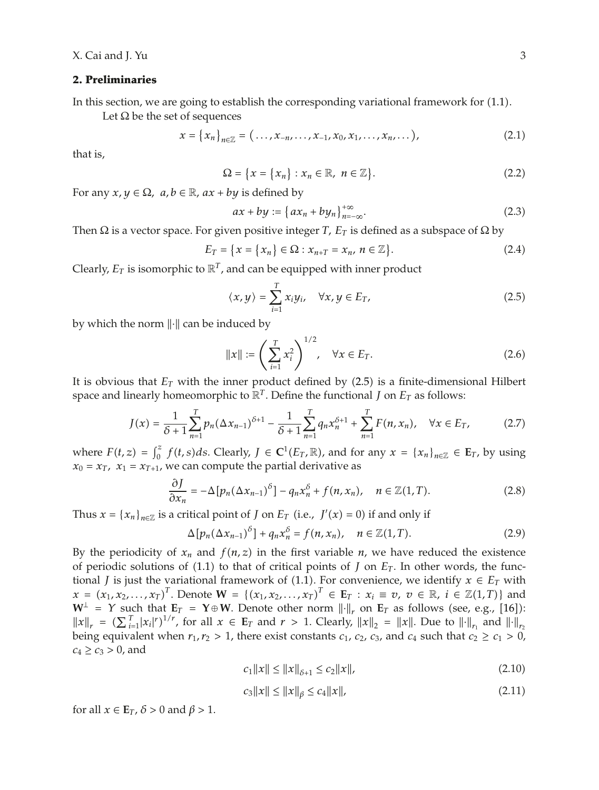#### **2. Preliminaries**

In this section, we are going to establish the corresponding variational framework for  $(1.1)$ .

Let  $\Omega$  be the set of sequences

$$
x = \{x_n\}_{n \in \mathbb{Z}} = (\ldots, x_{-n}, \ldots, x_{-1}, x_0, x_1, \ldots, x_n, \ldots),
$$
 (2.1)

that is,

$$
\Omega = \{x = \{x_n\} : x_n \in \mathbb{R}, \ n \in \mathbb{Z}\}.
$$
\n(2.2)

For any  $x, y \in \Omega$ ,  $a, b \in \mathbb{R}$ ,  $ax + by$  is defined by

$$
ax + by := \left\{ ax_n + by_n \right\}_{n = -\infty}^{+\infty}.
$$
 (2.3)

Then  $\Omega$  is a vector space. For given positive integer *T*,  $E_T$  is defined as a subspace of  $\Omega$  by

$$
E_T = \{x = \{x_n\} \in \Omega : x_{n+T} = x_n, n \in \mathbb{Z}\}.
$$
 (2.4)

Clearly,  $E_T$  is isomorphic to  $\mathbb{R}^T$ , and can be equipped with inner product

$$
\langle x, y \rangle = \sum_{i=1}^{T} x_i y_i, \quad \forall x, y \in E_T,
$$
\n(2.5)

by which the norm  $\lVert \cdot \rVert$  can be induced by

$$
||x|| := \left(\sum_{i=1}^{T} x_i^2\right)^{1/2}, \quad \forall x \in E_T.
$$
 (2.6)

It is obvious that *ET* with the inner product defined by 2.5 is a finite-dimensional Hilbert space and linearly homeomorphic to  $\mathbb{R}^T$ . Define the functional *J* on  $E_T$  as follows:

$$
J(x) = \frac{1}{\delta + 1} \sum_{n=1}^{T} p_n (\Delta x_{n-1})^{\delta + 1} - \frac{1}{\delta + 1} \sum_{n=1}^{T} q_n x_n^{\delta + 1} + \sum_{n=1}^{T} F(n, x_n), \quad \forall x \in E_T,
$$
 (2.7)

where  $F(t, z) = \int_0^z f(t, s) ds$ . Clearly,  $J \in \mathbb{C}^1(E_T, \mathbb{R})$ , and for any  $x = \{x_n\}_{n \in \mathbb{Z}} \in E_T$ , by using  $x_0 = x_T$ ,  $x_1 = x_{T+1}$ , we can compute the partial derivative as

$$
\frac{\partial J}{\partial x_n} = -\Delta \left[ p_n (\Delta x_{n-1})^\delta \right] - q_n x_n^\delta + f(n, x_n), \quad n \in \mathbb{Z}(1, T). \tag{2.8}
$$

Thus  $x = {x_n}_{n \in \mathbb{Z}}$  is a critical point of *J* on  $E_T$  (i.e.,  $J'(x) = 0$ ) if and only if

$$
\Delta[p_n(\Delta x_{n-1})^\delta] + q_n x_n^\delta = f(n, x_n), \quad n \in \mathbb{Z}(1, T). \tag{2.9}
$$

By the periodicity of  $x_n$  and  $f(n, z)$  in the first variable  $n$ , we have reduced the existence of periodic solutions of  $(1.1)$  to that of critical points of *J* on  $E_T$ . In other words, the functional *J* is just the variational framework of (1.1). For convenience, we identify  $x \in E_T$  with  $x = (x_1, x_2, ..., x_T)^T$ . Denote  $\mathbf{W} = \{(x_1, x_2, ..., x_T)^T \in \mathbf{E}_T : x_i \equiv v, v \in \mathbb{R}, i \in \mathbb{Z}(1,T)\}$  and  $W^{\perp}$  = Y such that  $E_T$  = Y ⊕ W. Denote other norm  $\|\cdot\|_r$  on  $E_T$  as follows (see, e.g., [16]):  $||x||_r = (\sum_{i=1}^T |x_i|^r)^{1/r}$ , for all  $x \in \mathbb{E}_T$  and  $r > 1$ . Clearly,  $||x||_2 = ||x||$ . Due to  $||\cdot||_{r_1}$  and  $||\cdot||_{r_2}$ being equivalent when  $r_1, r_2 > 1$ , there exist constants  $c_1, c_2, c_3$ , and  $c_4$  such that  $c_2 \ge c_1 > 0$ ,  $c_4 \ge c_3 > 0$ , and

$$
c_1 \|x\| \le \|x\|_{\delta+1} \le c_2 \|x\|,\tag{2.10}
$$

$$
c_3\|x\| \le \|x\|_{\beta} \le c_4\|x\|,\tag{2.11}
$$

for all  $x \in \mathbf{E}_T$ ,  $\delta > 0$  and  $\beta > 1$ .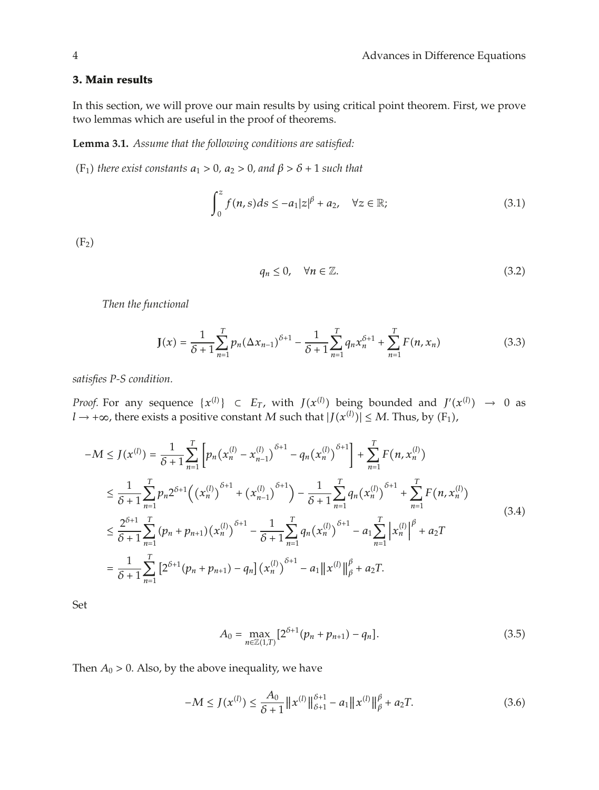## **3. Main results**

In this section, we will prove our main results by using critical point theorem. First, we prove two lemmas which are useful in the proof of theorems.

**Lemma 3.1.** *Assume that the following conditions are satisfied:*

 $(F_1)$  *there exist constants*  $a_1 > 0$ *,*  $a_2 > 0$ *, and*  $\beta > \delta + 1$  *such that* 

$$
\int_0^z f(n,s)ds \le -a_1|z|^{\beta} + a_2, \quad \forall z \in \mathbb{R};
$$
\n(3.1)

 $(F_2)$ 

$$
q_n \le 0, \quad \forall n \in \mathbb{Z}.\tag{3.2}
$$

*Then the functional*

$$
\mathbf{J}(x) = \frac{1}{\delta+1} \sum_{n=1}^{T} p_n (\Delta x_{n-1})^{\delta+1} - \frac{1}{\delta+1} \sum_{n=1}^{T} q_n x_n^{\delta+1} + \sum_{n=1}^{T} F(n, x_n)
$$
(3.3)

*satisfies P-S condition.*

*Proof.* For any sequence  $\{x^{(l)}\} \subset E_T$ , with  $J(x^{(l)})$  being bounded and  $J'(x^{(l)}) \rightarrow 0$  as *l* → +∞, there exists a positive constant *M* such that  $|J(x^{(l)})|$  ≤ *M*. Thus, by (F<sub>1</sub>),

$$
-M \leq J(x^{(l)}) = \frac{1}{\delta+1} \sum_{n=1}^{T} \left[ p_n (x_n^{(l)} - x_{n-1}^{(l)})^{\delta+1} - q_n (x_n^{(l)})^{\delta+1} \right] + \sum_{n=1}^{T} F(n, x_n^{(l)})
$$
  
\n
$$
\leq \frac{1}{\delta+1} \sum_{n=1}^{T} p_n 2^{\delta+1} \Big( (x_n^{(l)})^{\delta+1} + (x_{n-1}^{(l)})^{\delta+1} \Big) - \frac{1}{\delta+1} \sum_{n=1}^{T} q_n (x_n^{(l)})^{\delta+1} + \sum_{n=1}^{T} F(n, x_n^{(l)})
$$
  
\n
$$
\leq \frac{2^{\delta+1}}{\delta+1} \sum_{n=1}^{T} (p_n + p_{n+1}) (x_n^{(l)})^{\delta+1} - \frac{1}{\delta+1} \sum_{n=1}^{T} q_n (x_n^{(l)})^{\delta+1} - a_1 \sum_{n=1}^{T} \left| x_n^{(l)} \right|^\beta + a_2 T
$$
  
\n
$$
= \frac{1}{\delta+1} \sum_{n=1}^{T} \left[ 2^{\delta+1} (p_n + p_{n+1}) - q_n \right] (x_n^{(l)})^{\delta+1} - a_1 \left\| x^{(l)} \right\|_\beta^\beta + a_2 T.
$$
 (3.4)

Set

$$
A_0 = \max_{n \in \mathbb{Z}(1,T)} \left[ 2^{\delta+1} (p_n + p_{n+1}) - q_n \right]. \tag{3.5}
$$

Then  $A_0 > 0$ . Also, by the above inequality, we have

$$
-M \le J(x^{(l)}) \le \frac{A_0}{\delta + 1} \|x^{(l)}\|_{\delta + 1}^{\delta + 1} - a_1 \|x^{(l)}\|_{\beta}^{\beta} + a_2 T. \tag{3.6}
$$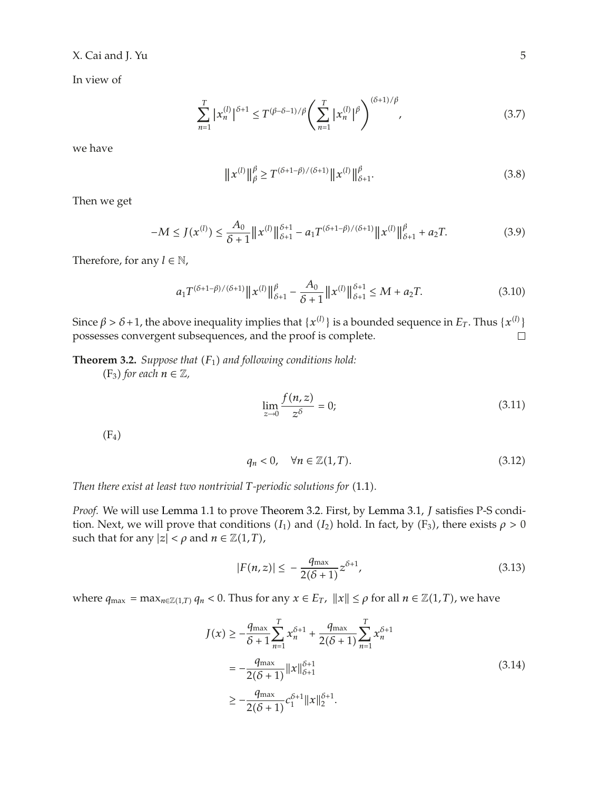## X. Cai and J. Yu 5

In view of

$$
\sum_{n=1}^{T} |x_n^{(l)}|^{\delta+1} \le T^{(\beta-\delta-1)/\beta} \left(\sum_{n=1}^{T} |x_n^{(l)}|^{\beta}\right)^{(\delta+1)/\beta},\tag{3.7}
$$

we have

$$
\|x^{(l)}\|_{\beta}^{\beta} \ge T^{(\delta+1-\beta)/(\delta+1)} \|x^{(l)}\|_{\delta+1}^{\beta}.
$$
\n(3.8)

Then we get

$$
-M \le J(x^{(l)}) \le \frac{A_0}{\delta+1} \|x^{(l)}\|_{\delta+1}^{\delta+1} - a_1 T^{(\delta+1-\beta)/(\delta+1)} \|x^{(l)}\|_{\delta+1}^{\beta} + a_2 T. \tag{3.9}
$$

Therefore, for any  $l \in \mathbb{N}$ ,

$$
a_1 T^{(\delta+1-\beta)/(\delta+1)} \|x^{(l)}\|_{\delta+1}^{\beta} - \frac{A_0}{\delta+1} \|x^{(l)}\|_{\delta+1}^{\delta+1} \le M + a_2 T. \tag{3.10}
$$

Since  $\beta > \delta + 1$ , the above inequality implies that  $\{x^{(l)}\}$  is a bounded sequence in  $E_T$ . Thus  $\{x^{(l)}\}$ possesses convergent subsequences, and the proof is complete.

**Theorem 3.2.** *Suppose that*  $(F_1)$  *and following conditions hold:* 

 $(F_3)$  *for each*  $n \in \mathbb{Z}$ *,* 

$$
\lim_{z \to 0} \frac{f(n, z)}{z^{\delta}} = 0;
$$
\n(3.11)

 $(F_4)$ 

$$
q_n < 0, \quad \forall n \in \mathbb{Z}(1, T). \tag{3.12}
$$

*Then there exist at least two nontrivial T-periodic solutions for*  $(1.1)$ *.* 

*Proof.* We will use Lemma 1.1 to prove Theorem 3.2. First, by Lemma 3.1, *J* satisfies P-S condition. Next, we will prove that conditions  $(I_1)$  and  $(I_2)$  hold. In fact, by  $(F_3)$ , there exists  $\rho > 0$ such that for any  $|z| < \rho$  and  $n \in \mathbb{Z}(1,T)$ ,

$$
|F(n,z)| \le -\frac{q_{\max}}{2(\delta+1)} z^{\delta+1},\tag{3.13}
$$

where  $q_{\max} = \max_{n \in \mathbb{Z}(1,T)} q_n < 0$ . Thus for any  $x \in E_T$ ,  $||x|| \le \rho$  for all  $n \in \mathbb{Z}(1,T)$ , we have

$$
J(x) \ge -\frac{q_{\max}}{\delta + 1} \sum_{n=1}^{T} x_n^{\delta + 1} + \frac{q_{\max}}{2(\delta + 1)} \sum_{n=1}^{T} x_n^{\delta + 1}
$$
  
=  $-\frac{q_{\max}}{2(\delta + 1)} ||x||_{\delta + 1}^{\delta + 1}$   
 $\ge -\frac{q_{\max}}{2(\delta + 1)} c_1^{\delta + 1} ||x||_2^{\delta + 1}.$  (3.14)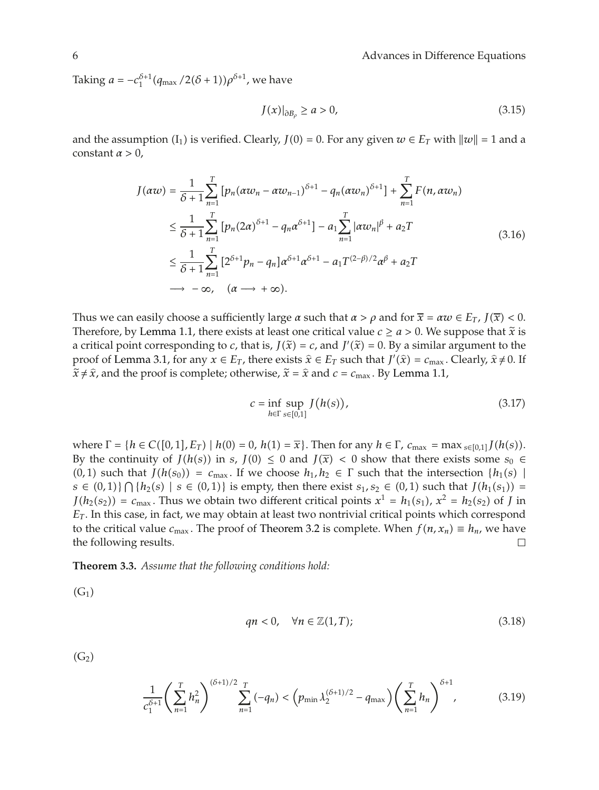Taking  $a = -c_1^{\delta+1} (q_{\text{max}} / 2(\delta+1)) \rho^{\delta+1}$ , we have

$$
J(x)|_{\partial B_{\rho}} \ge a > 0,
$$
\n(3.15)

and the assumption  $(I_1)$  is verified. Clearly,  $J(0) = 0$ . For any given  $w \in E_T$  with  $||w|| = 1$  and a constant  $\alpha > 0$ ,

$$
J(\alpha w) = \frac{1}{\delta + 1} \sum_{n=1}^{T} \left[ p_n (\alpha w_n - \alpha w_{n-1})^{\delta + 1} - q_n (\alpha w_n)^{\delta + 1} \right] + \sum_{n=1}^{T} F(n, \alpha w_n)
$$
  
\n
$$
\leq \frac{1}{\delta + 1} \sum_{n=1}^{T} \left[ p_n (2\alpha)^{\delta + 1} - q_n \alpha^{\delta + 1} \right] - a_1 \sum_{n=1}^{T} |\alpha w_n|^{\beta} + a_2 T
$$
  
\n
$$
\leq \frac{1}{\delta + 1} \sum_{n=1}^{T} \left[ 2^{\delta + 1} p_n - q_n \right] \alpha^{\delta + 1} \alpha^{\delta + 1} - a_1 T^{(2 - \beta)/2} \alpha^{\beta} + a_2 T
$$
  
\n
$$
\rightarrow -\infty, \quad (\alpha \rightarrow +\infty).
$$
\n(3.16)

Thus we can easily choose a sufficiently large  $\alpha$  such that  $\alpha > \rho$  and for  $\overline{x} = \alpha w \in E_T$ ,  $J(\overline{x}) < 0$ . Therefore, by Lemma 1.1, there exists at least one critical value  $c \ge a > 0$ . We suppose that  $\tilde{x}$  is a critical point corresponding to *c*, that is,  $J(\tilde{x}) = c$ , and  $J'(\tilde{x}) = 0$ . By a similar argument to the proof of Lemma 3.1, for any  $x \in E_T$ , there exists  $\hat{x} \in E_T$  such that  $J'(\hat{x}) = c_{\text{max}}$ . Clearly,  $\hat{x} \neq 0$ . If  $\tilde{x} \neq \hat{x}$  and the proof is complete: otherwise  $\tilde{x} = \hat{x}$  and  $c = c$ . By Lemma 1.1  $\tilde{x} \neq \hat{x}$ , and the proof is complete; otherwise,  $\tilde{x} = \hat{x}$  and  $c = c_{\text{max}}$ . By Lemma 1.1,

$$
c = \inf_{h \in \Gamma} \sup_{s \in [0,1]} J(h(s)), \tag{3.17}
$$

where  $\Gamma = \{h \in C([0,1], E_T) \mid h(0) = 0, h(1) = \overline{x}\}$ . Then for any  $h \in \Gamma$ ,  $c_{\text{max}} = \max_{s \in [0,1]} J(h(s))$ . By the continuity of *J*(*h*(*s*)) in *s*, *J*(0)  $\leq$  0 and *J*( $\bar{x}$ ) < 0 show that there exists some *s*<sup>0</sup>  $\in$  $(0,1)$  such that  $J(h(s_0)) = c_{\text{max}}$ . If we choose  $h_1, h_2 \in \Gamma$  such that the intersection  $\{h_1(s) \mid$ *s* ∈ (0, 1)  $\bigcap$  { $h_2(s)$  | *s* ∈ (0, 1)} is empty, then there exist *s*<sub>1</sub>, *s*<sub>2</sub> ∈ (0, 1) such that *J*( $h_1(s_1)$ ) = *J*( $h_2(s_2)$ ) =  $c_{\text{max}}$ . Thus we obtain two different critical points  $x^1 = h_1(s_1)$ ,  $x^2 = h_2(s_2)$  of *J* in *ET* . In this case, in fact, we may obtain at least two nontrivial critical points which correspond to the critical value *c*<sub>max</sub>. The proof of Theorem 3.2 is complete. When *f(n, x<sub>n</sub>)* ≡ *h<sub>n</sub>*, we have the following results.  $□$ the following results.

**Theorem 3.3.** *Assume that the following conditions hold:*

 $(G<sub>1</sub>)$ 

$$
qn < 0, \quad \forall n \in \mathbb{Z}(1, T); \tag{3.18}
$$

 $(G<sub>2</sub>)$ 

$$
\frac{1}{c_1^{\delta+1}} \left( \sum_{n=1}^T h_n^2 \right)^{(\delta+1)/2} \sum_{n=1}^T (-q_n) < \left( p_{\min} \lambda_2^{(\delta+1)/2} - q_{\max} \right) \left( \sum_{n=1}^T h_n \right)^{\delta+1},\tag{3.19}
$$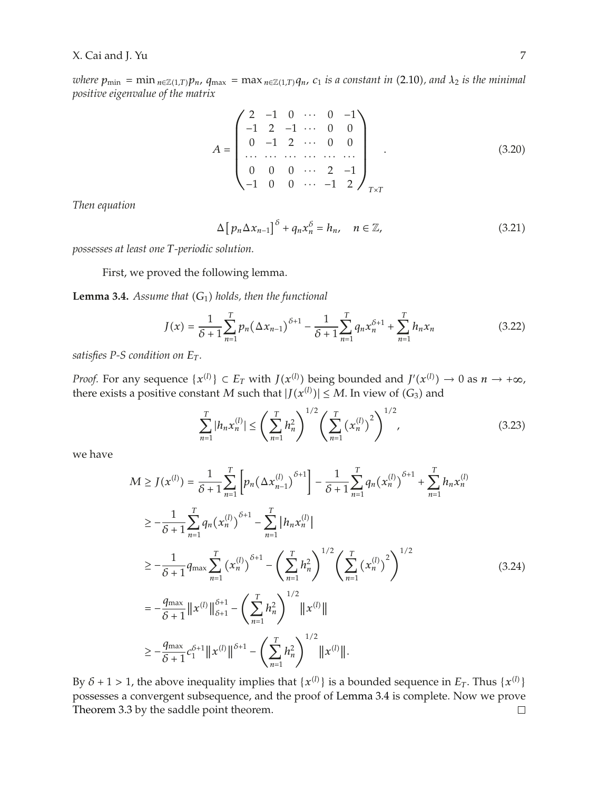*where*  $p_{\min} = \min_{n \in \mathbb{Z}(1,T)} p_n$ ,  $q_{\max} = \max_{n \in \mathbb{Z}(1,T)} q_n$ ,  $c_1$  *is a constant in* (2.10), and  $\lambda_2$  *is the minimal positive eigenvalue of the matrix*

$$
A = \begin{pmatrix} 2 & -1 & 0 & \cdots & 0 & -1 \\ -1 & 2 & -1 & \cdots & 0 & 0 \\ 0 & -1 & 2 & \cdots & 0 & 0 \\ \cdots & \cdots & \cdots & \cdots & \cdots & \cdots \\ 0 & 0 & 0 & \cdots & 2 & -1 \\ -1 & 0 & 0 & \cdots & -1 & 2 \end{pmatrix}_{T \times T}
$$
 (3.20)

*Then equation*

$$
\Delta \left[ p_n \Delta x_{n-1} \right]^{\delta} + q_n x_n^{\delta} = h_n, \quad n \in \mathbb{Z}, \tag{3.21}
$$

*possesses at least one T-periodic solution.*

First, we proved the following lemma.

**Lemma 3.4.** *Assume that*  $(G_1)$  *holds, then the functional* 

$$
J(x) = \frac{1}{\delta + 1} \sum_{n=1}^{T} p_n (\Delta x_{n-1})^{\delta + 1} - \frac{1}{\delta + 1} \sum_{n=1}^{T} q_n x_n^{\delta + 1} + \sum_{n=1}^{T} h_n x_n
$$
(3.22)

*satisfies P-S condition on*  $E_T$ .

*Proof.* For any sequence  $\{x^{(l)}\} \subset E_T$  with  $J(x^{(l)})$  being bounded and  $J'(x^{(l)}) \to 0$  as  $n \to +\infty$ , there exists a positive constant *M* such that  $|J(x^{(l)})| \leq M$ . In view of  $(G_3)$  and

$$
\sum_{n=1}^{T} |h_n x_n^{(l)}| \le \left(\sum_{n=1}^{T} h_n^2\right)^{1/2} \left(\sum_{n=1}^{T} \left(x_n^{(l)}\right)^2\right)^{1/2},\tag{3.23}
$$

we have

$$
M \geq J(x^{(l)}) = \frac{1}{\delta + 1} \sum_{n=1}^{T} \left[ p_n \left( \Delta x_{n-1}^{(l)} \right)^{\delta + 1} \right] - \frac{1}{\delta + 1} \sum_{n=1}^{T} q_n \left( x_n^{(l)} \right)^{\delta + 1} + \sum_{n=1}^{T} h_n x_n^{(l)}
$$
  
\n
$$
\geq -\frac{1}{\delta + 1} \sum_{n=1}^{T} q_n \left( x_n^{(l)} \right)^{\delta + 1} - \sum_{n=1}^{T} \left| h_n x_n^{(l)} \right|
$$
  
\n
$$
\geq -\frac{1}{\delta + 1} q_{\max} \sum_{n=1}^{T} \left( x_n^{(l)} \right)^{\delta + 1} - \left( \sum_{n=1}^{T} h_n^2 \right)^{1/2} \left( \sum_{n=1}^{T} \left( x_n^{(l)} \right)^2 \right)^{1/2}
$$
  
\n
$$
= -\frac{q_{\max}}{\delta + 1} \left\| x^{(l)} \right\|_{\delta + 1}^{\delta + 1} - \left( \sum_{n=1}^{T} h_n^2 \right)^{1/2} \left\| x^{(l)} \right\|
$$
  
\n
$$
\geq -\frac{q_{\max}}{\delta + 1} c_1^{\delta + 1} \left\| x^{(l)} \right\|_{\delta + 1}^{\delta + 1} - \left( \sum_{n=1}^{T} h_n^2 \right)^{1/2} \left\| x^{(l)} \right\|.
$$
 (3.24)

By  $\delta$  + 1 > 1, the above inequality implies that  $\{x^{(l)}\}$  is a bounded sequence in  $E_T$ . Thus  $\{x^{(l)}\}$ possesses a convergent subsequence, and the proof of Lemma 3.4 is complete. Now we prove Theorem 3.3 by the saddle point theorem. $\Box$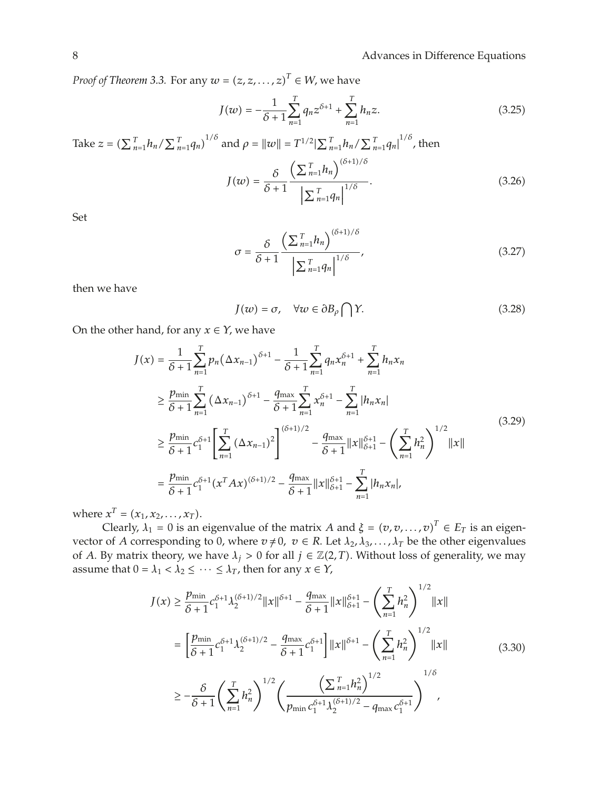*Proof of Theorem 3.3.* For any  $w = (z, z, \dots, z)^T \in W$ , we have

$$
J(w) = -\frac{1}{\delta + 1} \sum_{n=1}^{T} q_n z^{\delta + 1} + \sum_{n=1}^{T} h_n z.
$$
 (3.25)

Take 
$$
z = (\sum_{n=1}^{T} h_n / \sum_{n=1}^{T} q_n)^{1/\delta}
$$
 and  $\rho = ||w|| = T^{1/2} |\sum_{n=1}^{T} h_n / \sum_{n=1}^{T} q_n|^{1/\delta}$ , then  
\n
$$
J(w) = \frac{\delta}{\delta + 1} \frac{(\sum_{n=1}^{T} h_n)^{(\delta + 1)/\delta}}{|\sum_{n=1}^{T} q_n|^{1/\delta}}.
$$
\n(3.26)

Set

$$
\sigma = \frac{\delta}{\delta + 1} \frac{\left(\sum_{n=1}^{T} h_n\right)^{(\delta + 1)/\delta}}{\left|\sum_{n=1}^{T} q_n\right|^{1/\delta}},\tag{3.27}
$$

then we have

$$
J(w) = \sigma, \quad \forall w \in \partial B_{\rho} \bigcap Y. \tag{3.28}
$$

On the other hand, for any  $x \in Y$ , we have

$$
J(x) = \frac{1}{\delta + 1} \sum_{n=1}^{T} p_n (\Delta x_{n-1})^{\delta + 1} - \frac{1}{\delta + 1} \sum_{n=1}^{T} q_n x_n^{\delta + 1} + \sum_{n=1}^{T} h_n x_n
$$
  
\n
$$
\geq \frac{p_{\min}}{\delta + 1} \sum_{n=1}^{T} (\Delta x_{n-1})^{\delta + 1} - \frac{q_{\max}}{\delta + 1} \sum_{n=1}^{T} x_n^{\delta + 1} - \sum_{n=1}^{T} |h_n x_n|
$$
  
\n
$$
\geq \frac{p_{\min}}{\delta + 1} c_1^{\delta + 1} \left[ \sum_{n=1}^{T} (\Delta x_{n-1})^2 \right]^{(\delta + 1/2} - \frac{q_{\max}}{\delta + 1} ||x||_{\delta + 1}^{\delta + 1} - \left( \sum_{n=1}^{T} h_n^2 \right)^{1/2} ||x||
$$
  
\n
$$
= \frac{p_{\min}}{\delta + 1} c_1^{\delta + 1} (x^T A x)^{(\delta + 1)/2} - \frac{q_{\max}}{\delta + 1} ||x||_{\delta + 1}^{\delta + 1} - \sum_{n=1}^{T} |h_n x_n|,
$$
\n(3.29)

where  $x^T = (x_1, x_2, \ldots, x_T)$ .

Clearly,  $\lambda_1 = 0$  is an eigenvalue of the matrix *A* and  $\xi = (v, v, \dots, v)^T \in E_T$  is an eigenvector of *A* corresponding to 0, where  $v \neq 0$ ,  $v \in R$ . Let  $\lambda_2, \lambda_3, \ldots, \lambda_T$  be the other eigenvalues of *A*. By matrix theory, we have  $\lambda_j > 0$  for all  $j \in \mathbb{Z}(2,T)$ . Without loss of generality, we may assume that  $0 = \lambda_1 < \lambda_2 \leq \cdots \leq \lambda_T$ , then for any  $x \in Y$ ,

$$
J(x) \geq \frac{p_{\min}}{\delta + 1} c_1^{\delta + 1} \lambda_2^{(\delta + 1)/2} ||x||^{\delta + 1} - \frac{q_{\max}}{\delta + 1} ||x||_{\delta + 1}^{\delta + 1} - \left(\sum_{n=1}^T h_n^2\right)^{1/2} ||x||
$$
  
\n
$$
= \left[\frac{p_{\min}}{\delta + 1} c_1^{\delta + 1} \lambda_2^{(\delta + 1)/2} - \frac{q_{\max}}{\delta + 1} c_1^{\delta + 1}\right] ||x||^{\delta + 1} - \left(\sum_{n=1}^T h_n^2\right)^{1/2} ||x||
$$
  
\n
$$
\geq -\frac{\delta}{\delta + 1} \left(\sum_{n=1}^T h_n^2\right)^{1/2} \left(\frac{\left(\sum_{n=1}^T h_n^2\right)^{1/2}}{p_{\min} c_1^{\delta + 1} \lambda_2^{(\delta + 1)/2} - q_{\max} c_1^{\delta + 1}}\right)^{1/\delta},
$$
\n(3.30)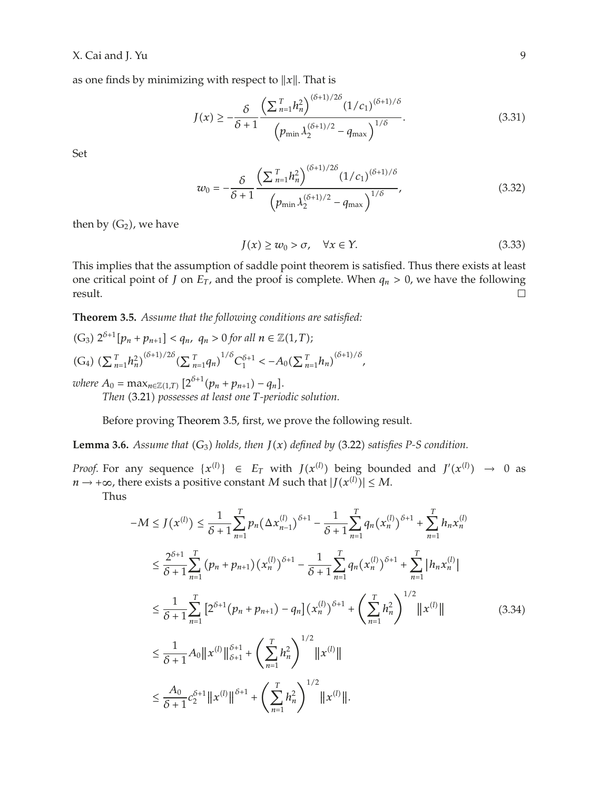## X. Cai and J. Yu 9

as one finds by minimizing with respect to  $||x||$ . That is

$$
J(x) \ge -\frac{\delta}{\delta + 1} \frac{\left(\sum_{n=1}^{T} h_n^2\right)^{(\delta + 1)/2\delta} (1/c_1)^{(\delta + 1)/\delta}}{\left(p_{\min} \lambda_2^{(\delta + 1)/2} - q_{\max}\right)^{1/\delta}}.
$$
\n(3.31)

Set

$$
w_0 = -\frac{\delta}{\delta + 1} \frac{\left(\sum_{n=1}^T h_n^2\right)^{(\delta + 1)/2\delta} (1/c_1)^{(\delta + 1)/\delta}}{\left(p_{\min} \lambda_2^{(\delta + 1)/2} - q_{\max}\right)^{1/\delta}},\tag{3.32}
$$

then by  $(G_2)$ , we have

$$
J(x) \ge w_0 > \sigma, \quad \forall x \in Y. \tag{3.33}
$$

This implies that the assumption of saddle point theorem is satisfied. Thus there exists at least one critical point of *J* on  $E_T$ , and the proof is complete. When  $q_n > 0$ , we have the following result.  $\Box$ 

**Theorem 3.5.** *Assume that the following conditions are satisfied:*

 $(G_3)$   $2^{\delta+1}[p_n + p_{n+1}] < q_n$ ,  $q_n > 0$  for all  $n \in \mathbb{Z}(1,T)$ ;  $(G_4)$   $\left(\sum_{n=1}^T h_n^2\right)^{(\delta+1)/2\delta} \left(\sum_{n=1}^T q_n\right)^{1/\delta} C_1^{\delta+1} < -A_0 \left(\sum_{n=1}^T h_n\right)^{(\delta+1)/\delta}$  $where A_0 = \max_{n \in \mathbb{Z}(1,T)} [2^{\delta+1}(p_n + p_{n+1}) - q_n].$ *Then* (3.21) *possesses at least one T-periodic solution.* 

Before proving Theorem 3.5, first, we prove the following result.

**Lemma 3.6.** *Assume that*  $(G_3)$  *holds, then*  $J(x)$  *defined by* (3.22) *satisfies* P-S *condition.* 

*Proof.* For any sequence  $\{x^{(l)}\} \in E_T$  with  $J(x^{(l)})$  being bounded and  $J'(x^{(l)}) \rightarrow 0$  as  $n \rightarrow +\infty$ , there exists a positive constant *M* such that  $|J(x^{(l)})| \leq M$ .

Thus

$$
-M \leq J(x^{(l)}) \leq \frac{1}{\delta+1} \sum_{n=1}^{T} p_n \left(\Delta x_{n-1}^{(l)}\right)^{\delta+1} - \frac{1}{\delta+1} \sum_{n=1}^{T} q_n \left(x_n^{(l)}\right)^{\delta+1} + \sum_{n=1}^{T} h_n x_n^{(l)}
$$
  
\n
$$
\leq \frac{2^{\delta+1}}{\delta+1} \sum_{n=1}^{T} \left(p_n + p_{n+1}\right) \left(x_n^{(l)}\right)^{\delta+1} - \frac{1}{\delta+1} \sum_{n=1}^{T} q_n \left(x_n^{(l)}\right)^{\delta+1} + \sum_{n=1}^{T} \left|h_n x_n^{(l)}\right|
$$
  
\n
$$
\leq \frac{1}{\delta+1} \sum_{n=1}^{T} \left[2^{\delta+1} \left(p_n + p_{n+1}\right) - q_n\right] \left(x_n^{(l)}\right)^{\delta+1} + \left(\sum_{n=1}^{T} h_n^2\right)^{1/2} \|x^{(l)}\|
$$
  
\n
$$
\leq \frac{1}{\delta+1} A_0 \|x^{(l)}\|_{\delta+1}^{\delta+1} + \left(\sum_{n=1}^{T} h_n^2\right)^{1/2} \|x^{(l)}\|
$$
  
\n
$$
\leq \frac{A_0}{\delta+1} c_2^{\delta+1} \|x^{(l)}\|_{\delta+1}^{\delta+1} + \left(\sum_{n=1}^{T} h_n^2\right)^{1/2} \|x^{(l)}\|.
$$
  
\n(3.34)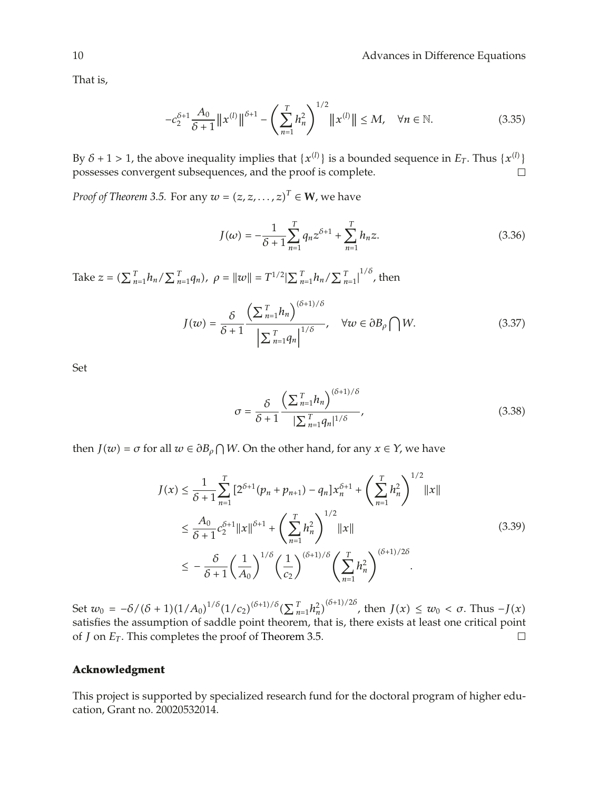That is,

$$
-c_2^{\delta+1} \frac{A_0}{\delta+1} \|x^{(l)}\|^{ \delta+1} - \left(\sum_{n=1}^T h_n^2\right)^{1/2} \|x^{(l)}\| \le M, \quad \forall n \in \mathbb{N}.
$$
 (3.35)

By  $\delta$  + 1 > 1, the above inequality implies that  $\{x^{(l)}\}$  is a bounded sequence in  $E_T$ . Thus  $\{x^{(l)}\}$ possesses convergent subsequences, and the proof is complete.

*Proof of Theorem 3.5.* For any  $w = (z, z, \dots, z)^T \in \mathbf{W}$ , we have

$$
J(\omega) = -\frac{1}{\delta + 1} \sum_{n=1}^{T} q_n z^{\delta + 1} + \sum_{n=1}^{T} h_n z.
$$
 (3.36)

Take  $z = (\sum_{n=1}^{T} h_n / \sum_{n=1}^{T} q_n)$ ,  $\rho = ||w|| = T^{1/2} |\sum_{n=1}^{T} h_n / \sum_{n=1}^{T} |^{1/\delta}$ , then

$$
J(w) = \frac{\delta}{\delta + 1} \frac{\left(\sum_{n=1}^{T} h_n\right)^{(\delta + 1)/\delta}}{\left|\sum_{n=1}^{T} q_n\right|^{1/\delta}}, \quad \forall w \in \partial B_\rho \bigcap W. \tag{3.37}
$$

Set

$$
\sigma = \frac{\delta}{\delta + 1} \frac{\left(\sum_{n=1}^{T} h_n\right)^{(\delta + 1)/\delta}}{|\sum_{n=1}^{T} q_n|^{1/\delta}},\tag{3.38}
$$

then *J*(*w*) =  $\sigma$  for all  $w \in \partial B_\rho \cap W$ . On the other hand, for any  $x \in Y$ , we have

$$
J(x) \leq \frac{1}{\delta+1} \sum_{n=1}^{T} \left[ 2^{\delta+1} (p_n + p_{n+1}) - q_n \right] x_n^{\delta+1} + \left( \sum_{n=1}^{T} h_n^2 \right)^{1/2} ||x||
$$
  

$$
\leq \frac{A_0}{\delta+1} c_2^{\delta+1} ||x||^{\delta+1} + \left( \sum_{n=1}^{T} h_n^2 \right)^{1/2} ||x||
$$
  

$$
\leq -\frac{\delta}{\delta+1} \left( \frac{1}{A_0} \right)^{1/\delta} \left( \frac{1}{c_2} \right)^{(\delta+1)/\delta} \left( \sum_{n=1}^{T} h_n^2 \right)^{(\delta+1)/2\delta}.
$$
 (3.39)

Set  $w_0 = -\delta/(\delta+1)(1/A_0)^{1/\delta}(1/c_2)^{(\delta+1)/\delta}(\sum_{n=1}^T h_n^2)^{(\delta+1)/2\delta}$ , then  $J(x) \leq w_0 < \sigma$ . Thus  $-J(x)$ satisfies the assumption of saddle point theorem, that is, there exists at least one critical point of *J* on *ET .* This completes the proof of Theorem 3.5.  $\Box$ 

# **Acknowledgment**

This project is supported by specialized research fund for the doctoral program of higher education, Grant no. 20020532014.